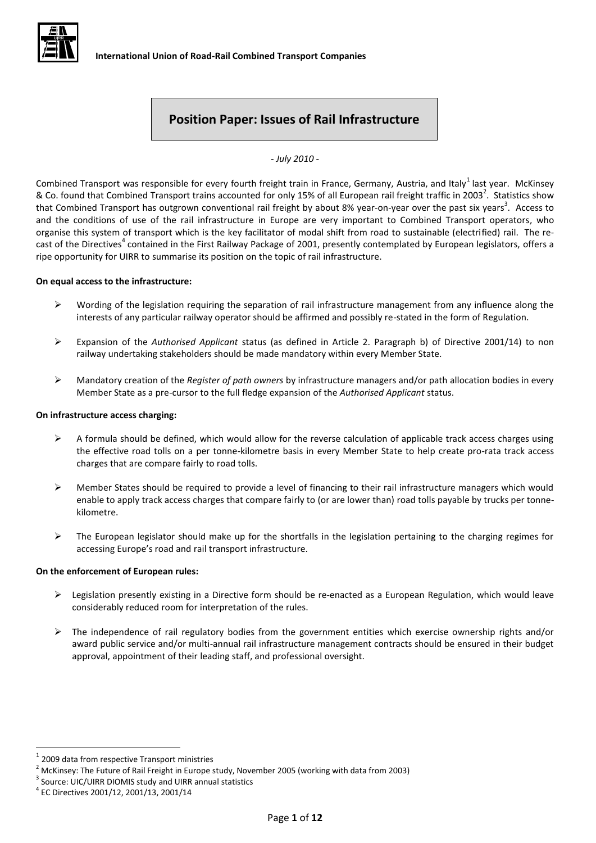

# **Position Paper: Issues of Rail Infrastructure**

*- July 2010 -*

Combined Transport was responsible for every fourth freight train in France, Germany, Austria, and Italy<sup>1</sup> last year. McKinsey & Co. found that Combined Transport trains accounted for only 15% of all European rail freight traffic in 2003<sup>2</sup>. Statistics show that Combined Transport has outgrown conventional rail freight by about 8% year-on-year over the past six years<sup>3</sup>. Access to and the conditions of use of the rail infrastructure in Europe are very important to Combined Transport operators, who organise this system of transport which is the key facilitator of modal shift from road to sustainable (electrified) rail. The recast of the Directives<sup>4</sup> contained in the First Railway Package of 2001, presently contemplated by European legislators, offers a ripe opportunity for UIRR to summarise its position on the topic of rail infrastructure.

#### **On equal access to the infrastructure:**

- $\triangleright$  Wording of the legislation requiring the separation of rail infrastructure management from any influence along the interests of any particular railway operator should be affirmed and possibly re-stated in the form of Regulation.
- Expansion of the *Authorised Applicant* status (as defined in Article 2. Paragraph b) of Directive 2001/14) to non railway undertaking stakeholders should be made mandatory within every Member State.
- Mandatory creation of the *Register of path owners* by infrastructure managers and/or path allocation bodies in every Member State as a pre-cursor to the full fledge expansion of the *Authorised Applicant* status.

#### **On infrastructure access charging:**

- $\triangleright$  A formula should be defined, which would allow for the reverse calculation of applicable track access charges using the effective road tolls on a per tonne-kilometre basis in every Member State to help create pro-rata track access charges that are compare fairly to road tolls.
- Member States should be required to provide a level of financing to their rail infrastructure managers which would enable to apply track access charges that compare fairly to (or are lower than) road tolls payable by trucks per tonnekilometre.
- $\triangleright$  The European legislator should make up for the shortfalls in the legislation pertaining to the charging regimes for accessing Europe's road and rail transport infrastructure.

#### **On the enforcement of European rules:**

- $\triangleright$  Legislation presently existing in a Directive form should be re-enacted as a European Regulation, which would leave considerably reduced room for interpretation of the rules.
- $\triangleright$  The independence of rail regulatory bodies from the government entities which exercise ownership rights and/or award public service and/or multi-annual rail infrastructure management contracts should be ensured in their budget approval, appointment of their leading staff, and professional oversight.

<sup>1</sup> 2009 data from respective Transport ministries

 $2$  McKinsey: The Future of Rail Freight in Europe study, November 2005 (working with data from 2003)

<sup>&</sup>lt;sup>3</sup> Source: UIC/UIRR DIOMIS study and UIRR annual statistics

<sup>4</sup> EC Directives 2001/12, 2001/13, 2001/14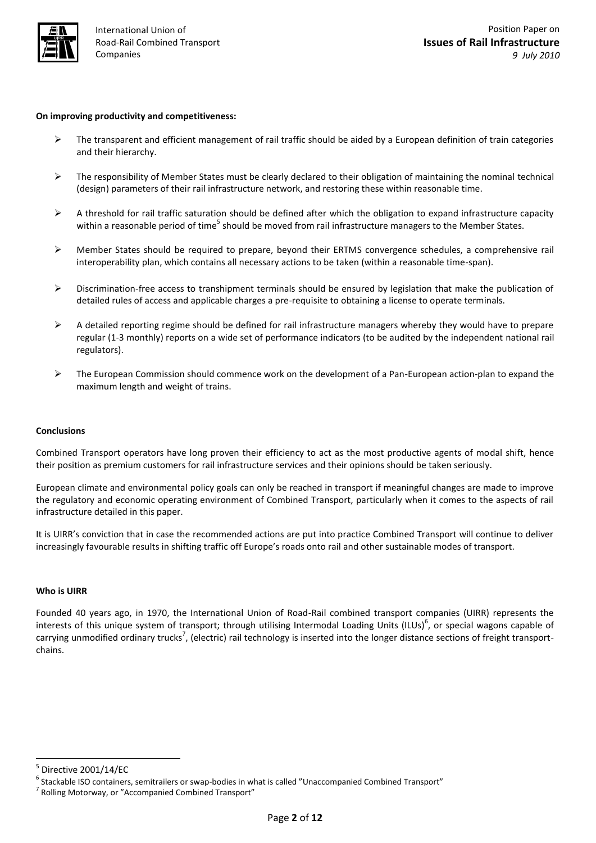

#### **On improving productivity and competitiveness:**

- $\triangleright$  The transparent and efficient management of rail traffic should be aided by a European definition of train categories and their hierarchy.
- $\triangleright$  The responsibility of Member States must be clearly declared to their obligation of maintaining the nominal technical (design) parameters of their rail infrastructure network, and restoring these within reasonable time.
- $\triangleright$  A threshold for rail traffic saturation should be defined after which the obligation to expand infrastructure capacity within a reasonable period of time<sup>5</sup> should be moved from rail infrastructure managers to the Member States.
- $\triangleright$  Member States should be required to prepare, beyond their ERTMS convergence schedules, a comprehensive rail interoperability plan, which contains all necessary actions to be taken (within a reasonable time-span).
- $\triangleright$  Discrimination-free access to transhipment terminals should be ensured by legislation that make the publication of detailed rules of access and applicable charges a pre-requisite to obtaining a license to operate terminals.
- $\triangleright$  A detailed reporting regime should be defined for rail infrastructure managers whereby they would have to prepare regular (1-3 monthly) reports on a wide set of performance indicators (to be audited by the independent national rail regulators).
- $\triangleright$  The European Commission should commence work on the development of a Pan-European action-plan to expand the maximum length and weight of trains.

#### **Conclusions**

Combined Transport operators have long proven their efficiency to act as the most productive agents of modal shift, hence their position as premium customers for rail infrastructure services and their opinions should be taken seriously.

European climate and environmental policy goals can only be reached in transport if meaningful changes are made to improve the regulatory and economic operating environment of Combined Transport, particularly when it comes to the aspects of rail infrastructure detailed in this paper.

It is UIRR's conviction that in case the recommended actions are put into practice Combined Transport will continue to deliver increasingly favourable results in shifting traffic off Europe's roads onto rail and other sustainable modes of transport.

#### **Who is UIRR**

Founded 40 years ago, in 1970, the International Union of Road-Rail combined transport companies (UIRR) represents the interests of this unique system of transport; through utilising Intermodal Loading Units (ILUs)<sup>6</sup>, or special wagons capable of carrying unmodified ordinary trucks<sup>7</sup>, (electric) rail technology is inserted into the longer distance sections of freight transportchains.

 $\overline{a}$ 

<sup>5</sup> Directive 2001/14/EC

<sup>&</sup>lt;sup>6</sup> Stackable ISO containers, semitrailers or swap-bodies in what is called "Unaccompanied Combined Transport"

<sup>&</sup>lt;sup>7</sup> Rolling Motorway, or "Accompanied Combined Transport"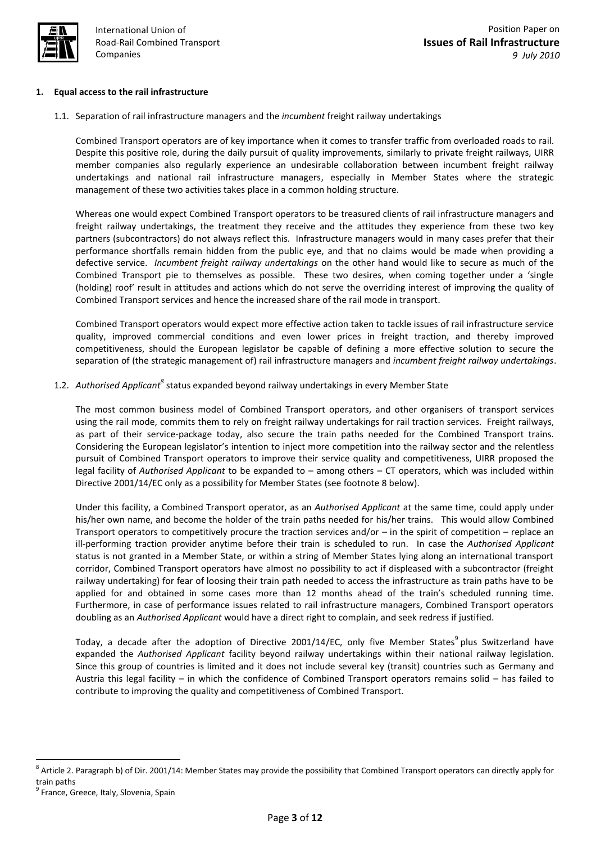

## **1. Equal access to the rail infrastructure**

1.1. Separation of rail infrastructure managers and the *incumbent* freight railway undertakings

Combined Transport operators are of key importance when it comes to transfer traffic from overloaded roads to rail. Despite this positive role, during the daily pursuit of quality improvements, similarly to private freight railways, UIRR member companies also regularly experience an undesirable collaboration between incumbent freight railway undertakings and national rail infrastructure managers, especially in Member States where the strategic management of these two activities takes place in a common holding structure.

Whereas one would expect Combined Transport operators to be treasured clients of rail infrastructure managers and freight railway undertakings, the treatment they receive and the attitudes they experience from these two key partners (subcontractors) do not always reflect this. Infrastructure managers would in many cases prefer that their performance shortfalls remain hidden from the public eye, and that no claims would be made when providing a defective service. *Incumbent freight railway undertakings* on the other hand would like to secure as much of the Combined Transport pie to themselves as possible. These two desires, when coming together under a 'single (holding) roof' result in attitudes and actions which do not serve the overriding interest of improving the quality of Combined Transport services and hence the increased share of the rail mode in transport.

Combined Transport operators would expect more effective action taken to tackle issues of rail infrastructure service quality, improved commercial conditions and even lower prices in freight traction, and thereby improved competitiveness, should the European legislator be capable of defining a more effective solution to secure the separation of (the strategic management of) rail infrastructure managers and *incumbent freight railway undertakings*.

1.2. Authorised Applicant<sup>8</sup> status expanded beyond railway undertakings in every Member State

The most common business model of Combined Transport operators, and other organisers of transport services using the rail mode, commits them to rely on freight railway undertakings for rail traction services. Freight railways, as part of their service-package today, also secure the train paths needed for the Combined Transport trains. Considering the European legislator's intention to inject more competition into the railway sector and the relentless pursuit of Combined Transport operators to improve their service quality and competitiveness, UIRR proposed the legal facility of *Authorised Applicant* to be expanded to – among others – CT operators, which was included within Directive 2001/14/EC only as a possibility for Member States (see footnote 8 below).

Under this facility, a Combined Transport operator, as an *Authorised Applicant* at the same time, could apply under his/her own name, and become the holder of the train paths needed for his/her trains. This would allow Combined Transport operators to competitively procure the traction services and/or  $-$  in the spirit of competition  $-$  replace an ill-performing traction provider anytime before their train is scheduled to run. In case the *Authorised Applicant* status is not granted in a Member State, or within a string of Member States lying along an international transport corridor, Combined Transport operators have almost no possibility to act if displeased with a subcontractor (freight railway undertaking) for fear of loosing their train path needed to access the infrastructure as train paths have to be applied for and obtained in some cases more than 12 months ahead of the train's scheduled running time. Furthermore, in case of performance issues related to rail infrastructure managers, Combined Transport operators doubling as an *Authorised Applicant* would have a direct right to complain, and seek redress if justified.

Today, a decade after the adoption of Directive 2001/14/EC, only five Member States<sup>9</sup> plus Switzerland have expanded the *Authorised Applicant* facility beyond railway undertakings within their national railway legislation. Since this group of countries is limited and it does not include several key (transit) countries such as Germany and Austria this legal facility – in which the confidence of Combined Transport operators remains solid – has failed to contribute to improving the quality and competitiveness of Combined Transport.

<sup>&</sup>lt;sup>8</sup> Article 2. Paragraph b) of Dir. 2001/14: Member States may provide the possibility that Combined Transport operators can directly apply for train paths

<sup>&</sup>lt;sup>9</sup> France, Greece, Italy, Slovenia, Spain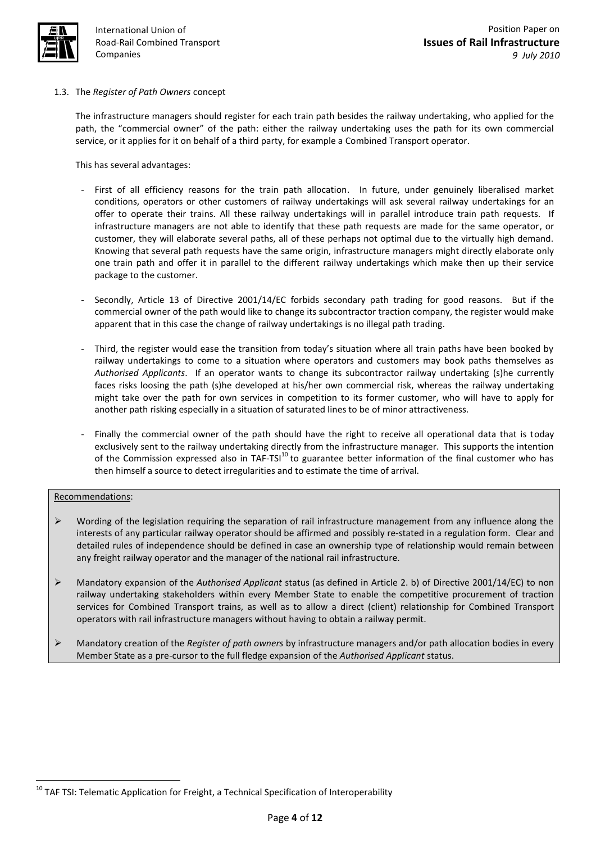

# 1.3. The *Register of Path Owners* concept

The infrastructure managers should register for each train path besides the railway undertaking, who applied for the path, the "commercial owner" of the path: either the railway undertaking uses the path for its own commercial service, or it applies for it on behalf of a third party, for example a Combined Transport operator.

This has several advantages:

- First of all efficiency reasons for the train path allocation. In future, under genuinely liberalised market conditions, operators or other customers of railway undertakings will ask several railway undertakings for an offer to operate their trains. All these railway undertakings will in parallel introduce train path requests. If infrastructure managers are not able to identify that these path requests are made for the same operator, or customer, they will elaborate several paths, all of these perhaps not optimal due to the virtually high demand. Knowing that several path requests have the same origin, infrastructure managers might directly elaborate only one train path and offer it in parallel to the different railway undertakings which make then up their service package to the customer.
- Secondly, Article 13 of Directive 2001/14/EC forbids secondary path trading for good reasons. But if the commercial owner of the path would like to change its subcontractor traction company, the register would make apparent that in this case the change of railway undertakings is no illegal path trading.
- Third, the register would ease the transition from today's situation where all train paths have been booked by railway undertakings to come to a situation where operators and customers may book paths themselves as *Authorised Applicants*. If an operator wants to change its subcontractor railway undertaking (s)he currently faces risks loosing the path (s)he developed at his/her own commercial risk, whereas the railway undertaking might take over the path for own services in competition to its former customer, who will have to apply for another path risking especially in a situation of saturated lines to be of minor attractiveness.
- Finally the commercial owner of the path should have the right to receive all operational data that is today exclusively sent to the railway undertaking directly from the infrastructure manager. This supports the intention of the Commission expressed also in TAF-TSI<sup>10</sup> to guarantee better information of the final customer who has then himself a source to detect irregularities and to estimate the time of arrival.

## Recommendations:

- Wording of the legislation requiring the separation of rail infrastructure management from any influence along the interests of any particular railway operator should be affirmed and possibly re-stated in a regulation form. Clear and detailed rules of independence should be defined in case an ownership type of relationship would remain between any freight railway operator and the manager of the national rail infrastructure.
- Mandatory expansion of the *Authorised Applicant* status (as defined in Article 2. b) of Directive 2001/14/EC) to non railway undertaking stakeholders within every Member State to enable the competitive procurement of traction services for Combined Transport trains, as well as to allow a direct (client) relationship for Combined Transport operators with rail infrastructure managers without having to obtain a railway permit.
- Mandatory creation of the *Register of path owners* by infrastructure managers and/or path allocation bodies in every Member State as a pre-cursor to the full fledge expansion of the *Authorised Applicant* status.

 $10$  TAF TSI: Telematic Application for Freight, a Technical Specification of Interoperability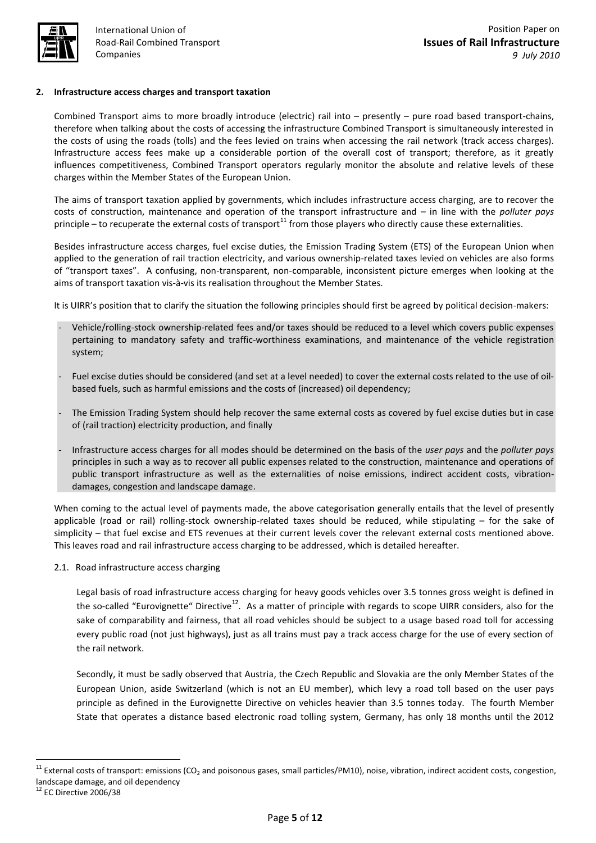

## **2. Infrastructure access charges and transport taxation**

Combined Transport aims to more broadly introduce (electric) rail into – presently – pure road based transport-chains, therefore when talking about the costs of accessing the infrastructure Combined Transport is simultaneously interested in the costs of using the roads (tolls) and the fees levied on trains when accessing the rail network (track access charges). Infrastructure access fees make up a considerable portion of the overall cost of transport; therefore, as it greatly influences competitiveness, Combined Transport operators regularly monitor the absolute and relative levels of these charges within the Member States of the European Union.

The aims of transport taxation applied by governments, which includes infrastructure access charging, are to recover the costs of construction, maintenance and operation of the transport infrastructure and – in line with the *polluter pays*  principle – to recuperate the external costs of transport<sup>11</sup> from those players who directly cause these externalities.

Besides infrastructure access charges, fuel excise duties, the Emission Trading System (ETS) of the European Union when applied to the generation of rail traction electricity, and various ownership-related taxes levied on vehicles are also forms of "transport taxes". A confusing, non-transparent, non-comparable, inconsistent picture emerges when looking at the aims of transport taxation vis-à-vis its realisation throughout the Member States.

It is UIRR's position that to clarify the situation the following principles should first be agreed by political decision-makers:

- Vehicle/rolling-stock ownership-related fees and/or taxes should be reduced to a level which covers public expenses pertaining to mandatory safety and traffic-worthiness examinations, and maintenance of the vehicle registration system;
- Fuel excise duties should be considered (and set at a level needed) to cover the external costs related to the use of oilbased fuels, such as harmful emissions and the costs of (increased) oil dependency;
- The Emission Trading System should help recover the same external costs as covered by fuel excise duties but in case of (rail traction) electricity production, and finally
- Infrastructure access charges for all modes should be determined on the basis of the *user pays* and the *polluter pays* principles in such a way as to recover all public expenses related to the construction, maintenance and operations of public transport infrastructure as well as the externalities of noise emissions, indirect accident costs, vibrationdamages, congestion and landscape damage.

When coming to the actual level of payments made, the above categorisation generally entails that the level of presently applicable (road or rail) rolling-stock ownership-related taxes should be reduced, while stipulating – for the sake of simplicity – that fuel excise and ETS revenues at their current levels cover the relevant external costs mentioned above. This leaves road and rail infrastructure access charging to be addressed, which is detailed hereafter.

2.1. Road infrastructure access charging

Legal basis of road infrastructure access charging for heavy goods vehicles over 3.5 tonnes gross weight is defined in the so-called "Eurovignette" Directive<sup>12</sup>. As a matter of principle with regards to scope UIRR considers, also for the sake of comparability and fairness, that all road vehicles should be subject to a usage based road toll for accessing every public road (not just highways), just as all trains must pay a track access charge for the use of every section of the rail network.

Secondly, it must be sadly observed that Austria, the Czech Republic and Slovakia are the only Member States of the European Union, aside Switzerland (which is not an EU member), which levy a road toll based on the user pays principle as defined in the Eurovignette Directive on vehicles heavier than 3.5 tonnes today. The fourth Member State that operates a distance based electronic road tolling system, Germany, has only 18 months until the 2012

 $11$  External costs of transport: emissions (CO<sub>2</sub> and poisonous gases, small particles/PM10), noise, vibration, indirect accident costs, congestion, landscape damage, and oil dependency

<sup>&</sup>lt;sup>12</sup> EC Directive 2006/38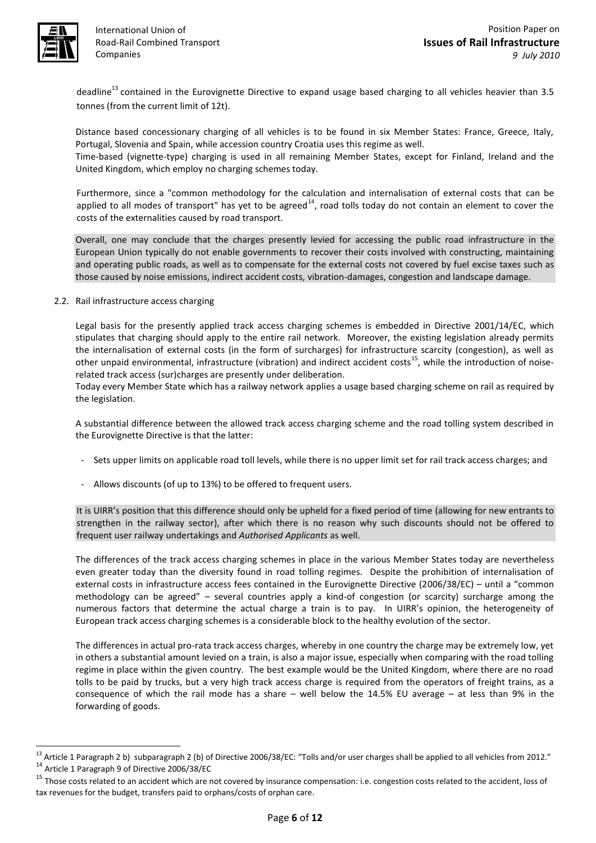

**.** 

International Union of Road-Rail Combined Transport Companies

deadline $^{13}$  contained in the Eurovignette Directive to expand usage based charging to all vehicles heavier than 3.5 tonnes (from the current limit of 12t).

Distance based concessionary charging of all vehicles is to be found in six Member States: France, Greece, Italy, Portugal, Slovenia and Spain, while accession country Croatia uses this regime as well.

Time-based (vignette-type) charging is used in all remaining Member States, except for Finland, Ireland and the United Kingdom, which employ no charging schemes today.

Furthermore, since a "common methodology for the calculation and internalisation of external costs that can be applied to all modes of transport" has yet to be agreed<sup>14</sup>, road tolls today do not contain an element to cover the costs of the externalities caused by road transport.

Overall, one may conclude that the charges presently levied for accessing the public road infrastructure in the European Union typically do not enable governments to recover their costs involved with constructing, maintaining and operating public roads, as well as to compensate for the external costs not covered by fuel excise taxes such as those caused by noise emissions, indirect accident costs, vibration-damages, congestion and landscape damage.

2.2. Rail infrastructure access charging

Legal basis for the presently applied track access charging schemes is embedded in Directive 2001/14/EC, which stipulates that charging should apply to the entire rail network. Moreover, the existing legislation already permits the internalisation of external costs (in the form of surcharges) for infrastructure scarcity (congestion), as well as other unpaid environmental, infrastructure (vibration) and indirect accident costs<sup>15</sup>, while the introduction of noiserelated track access (sur)charges are presently under deliberation.

Today every Member State which has a railway network applies a usage based charging scheme on rail as required by the legislation.

A substantial difference between the allowed track access charging scheme and the road tolling system described in the Eurovignette Directive is that the latter:

- Sets upper limits on applicable road toll levels, while there is no upper limit set for rail track access charges; and
- Allows discounts (of up to 13%) to be offered to frequent users.

It is UIRR's position that this difference should only be upheld for a fixed period of time (allowing for new entrants to strengthen in the railway sector), after which there is no reason why such discounts should not be offered to frequent user railway undertakings and *Authorised Applicants* as well.

The differences of the track access charging schemes in place in the various Member States today are nevertheless even greater today than the diversity found in road tolling regimes. Despite the prohibition of internalisation of external costs in infrastructure access fees contained in the Eurovignette Directive (2006/38/EC) – until a "common methodology can be agreed" – several countries apply a kind-of congestion (or scarcity) surcharge among the numerous factors that determine the actual charge a train is to pay. In UIRR's opinion, the heterogeneity of European track access charging schemes is a considerable block to the healthy evolution of the sector.

The differences in actual pro-rata track access charges, whereby in one country the charge may be extremely low, yet in others a substantial amount levied on a train, is also a major issue, especially when comparing with the road tolling regime in place within the given country. The best example would be the United Kingdom, where there are no road tolls to be paid by trucks, but a very high track access charge is required from the operators of freight trains, as a consequence of which the rail mode has a share – well below the 14.5% EU average – at less than 9% in the forwarding of goods.

 $13$  Article 1 Paragraph 2 b) subparagraph 2 (b) of Directive 2006/38/EC: "Tolls and/or user charges shall be applied to all vehicles from 2012." <sup>14</sup> Article 1 Paragraph 9 of Directive 2006/38/EC

<sup>&</sup>lt;sup>15</sup> Those costs related to an accident which are not covered by insurance compensation: i.e. congestion costs related to the accident, loss of tax revenues for the budget, transfers paid to orphans/costs of orphan care.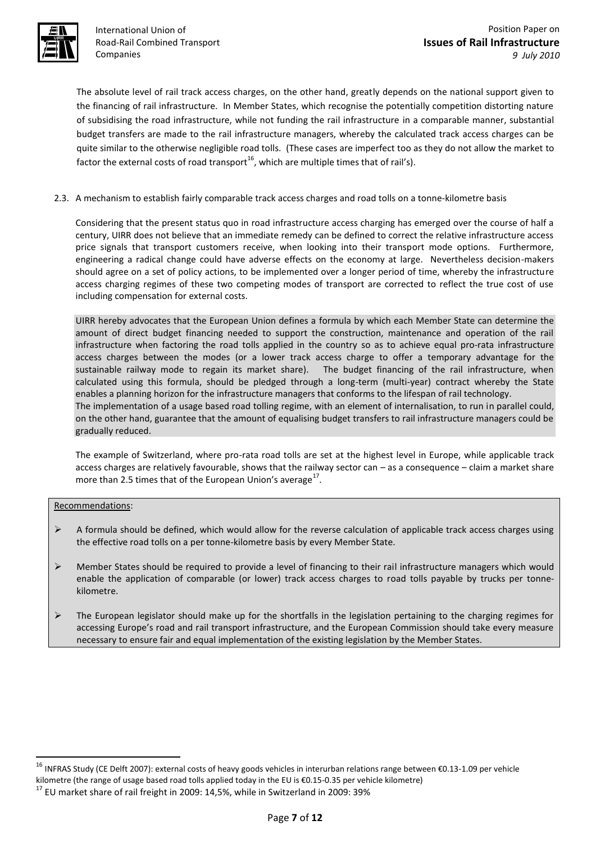

International Union of Road-Rail Combined Transport Companies

The absolute level of rail track access charges, on the other hand, greatly depends on the national support given to the financing of rail infrastructure. In Member States, which recognise the potentially competition distorting nature of subsidising the road infrastructure, while not funding the rail infrastructure in a comparable manner, substantial budget transfers are made to the rail infrastructure managers, whereby the calculated track access charges can be quite similar to the otherwise negligible road tolls. (These cases are imperfect too as they do not allow the market to factor the external costs of road transport<sup>16</sup>, which are multiple times that of rail's).

# 2.3. A mechanism to establish fairly comparable track access charges and road tolls on a tonne-kilometre basis

Considering that the present status quo in road infrastructure access charging has emerged over the course of half a century, UIRR does not believe that an immediate remedy can be defined to correct the relative infrastructure access price signals that transport customers receive, when looking into their transport mode options. Furthermore, engineering a radical change could have adverse effects on the economy at large. Nevertheless decision-makers should agree on a set of policy actions, to be implemented over a longer period of time, whereby the infrastructure access charging regimes of these two competing modes of transport are corrected to reflect the true cost of use including compensation for external costs.

UIRR hereby advocates that the European Union defines a formula by which each Member State can determine the amount of direct budget financing needed to support the construction, maintenance and operation of the rail infrastructure when factoring the road tolls applied in the country so as to achieve equal pro-rata infrastructure access charges between the modes (or a lower track access charge to offer a temporary advantage for the sustainable railway mode to regain its market share). The budget financing of the rail infrastructure, when calculated using this formula, should be pledged through a long-term (multi-year) contract whereby the State enables a planning horizon for the infrastructure managers that conforms to the lifespan of rail technology. The implementation of a usage based road tolling regime, with an element of internalisation, to run in parallel could, on the other hand, guarantee that the amount of equalising budget transfers to rail infrastructure managers could be

The example of Switzerland, where pro-rata road tolls are set at the highest level in Europe, while applicable track access charges are relatively favourable, shows that the railway sector can – as a consequence – claim a market share more than 2.5 times that of the European Union's average<sup>17</sup>.

## Recommendations:

**.** 

gradually reduced.

- $\triangleright$  A formula should be defined, which would allow for the reverse calculation of applicable track access charges using the effective road tolls on a per tonne-kilometre basis by every Member State.
- $\triangleright$  Member States should be required to provide a level of financing to their rail infrastructure managers which would enable the application of comparable (or lower) track access charges to road tolls payable by trucks per tonnekilometre.
- $\triangleright$  The European legislator should make up for the shortfalls in the legislation pertaining to the charging regimes for accessing Europe's road and rail transport infrastructure, and the European Commission should take every measure necessary to ensure fair and equal implementation of the existing legislation by the Member States.

<sup>16</sup> INFRAS Study (CE Delft 2007): external costs of heavy goods vehicles in interurban relations range between €0.13-1.09 per vehicle kilometre (the range of usage based road tolls applied today in the EU is €0.15-0.35 per vehicle kilometre)

 $17$  EU market share of rail freight in 2009: 14,5%, while in Switzerland in 2009: 39%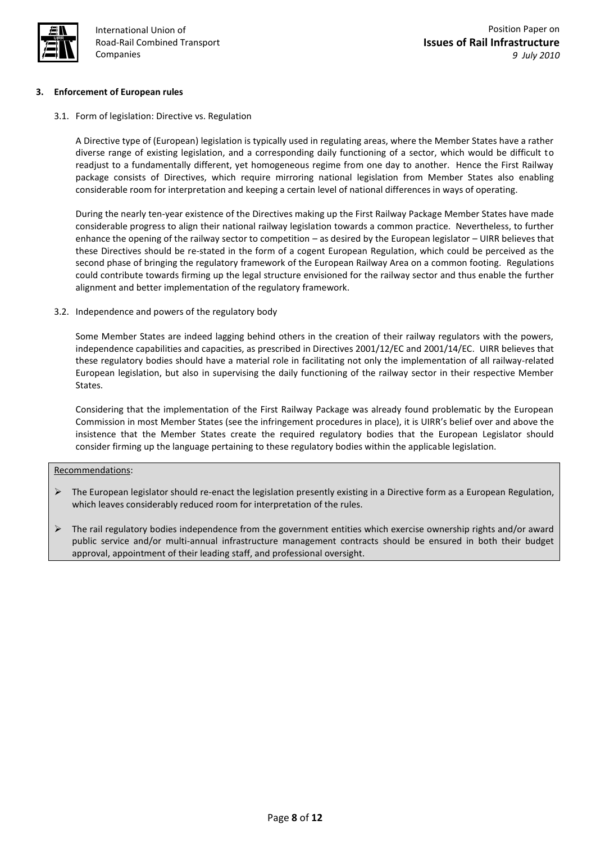

## **3. Enforcement of European rules**

3.1. Form of legislation: Directive vs. Regulation

A Directive type of (European) legislation is typically used in regulating areas, where the Member States have a rather diverse range of existing legislation, and a corresponding daily functioning of a sector, which would be difficult to readjust to a fundamentally different, yet homogeneous regime from one day to another. Hence the First Railway package consists of Directives, which require mirroring national legislation from Member States also enabling considerable room for interpretation and keeping a certain level of national differences in ways of operating.

During the nearly ten-year existence of the Directives making up the First Railway Package Member States have made considerable progress to align their national railway legislation towards a common practice. Nevertheless, to further enhance the opening of the railway sector to competition – as desired by the European legislator – UIRR believes that these Directives should be re-stated in the form of a cogent European Regulation, which could be perceived as the second phase of bringing the regulatory framework of the European Railway Area on a common footing. Regulations could contribute towards firming up the legal structure envisioned for the railway sector and thus enable the further alignment and better implementation of the regulatory framework.

3.2. Independence and powers of the regulatory body

Some Member States are indeed lagging behind others in the creation of their railway regulators with the powers, independence capabilities and capacities, as prescribed in Directives 2001/12/EC and 2001/14/EC. UIRR believes that these regulatory bodies should have a material role in facilitating not only the implementation of all railway-related European legislation, but also in supervising the daily functioning of the railway sector in their respective Member States.

Considering that the implementation of the First Railway Package was already found problematic by the European Commission in most Member States (see the infringement procedures in place), it is UIRR's belief over and above the insistence that the Member States create the required regulatory bodies that the European Legislator should consider firming up the language pertaining to these regulatory bodies within the applicable legislation.

#### Recommendations:

- $\triangleright$  The European legislator should re-enact the legislation presently existing in a Directive form as a European Regulation, which leaves considerably reduced room for interpretation of the rules.
- $\triangleright$  The rail regulatory bodies independence from the government entities which exercise ownership rights and/or award public service and/or multi-annual infrastructure management contracts should be ensured in both their budget approval, appointment of their leading staff, and professional oversight.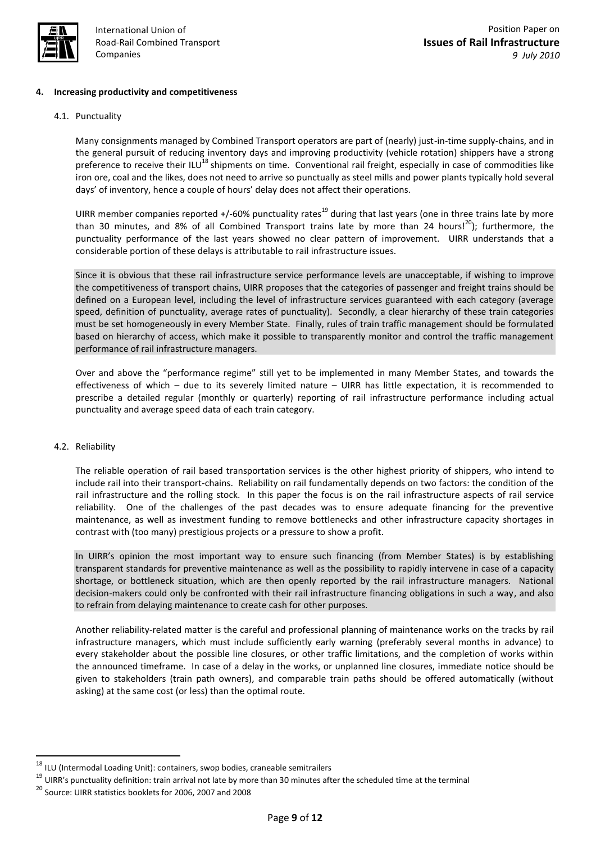

## **4. Increasing productivity and competitiveness**

#### 4.1. Punctuality

Many consignments managed by Combined Transport operators are part of (nearly) just-in-time supply-chains, and in the general pursuit of reducing inventory days and improving productivity (vehicle rotation) shippers have a strong preference to receive their ILU<sup>18</sup> shipments on time. Conventional rail freight, especially in case of commodities like iron ore, coal and the likes, does not need to arrive so punctually as steel mills and power plants typically hold several days' of inventory, hence a couple of hours' delay does not affect their operations.

UIRR member companies reported +/-60% punctuality rates<sup>19</sup> during that last years (one in three trains late by more than 30 minutes, and 8% of all Combined Transport trains late by more than 24 hours!<sup>20</sup>); furthermore, the punctuality performance of the last years showed no clear pattern of improvement. UIRR understands that a considerable portion of these delays is attributable to rail infrastructure issues.

Since it is obvious that these rail infrastructure service performance levels are unacceptable, if wishing to improve the competitiveness of transport chains, UIRR proposes that the categories of passenger and freight trains should be defined on a European level, including the level of infrastructure services guaranteed with each category (average speed, definition of punctuality, average rates of punctuality). Secondly, a clear hierarchy of these train categories must be set homogeneously in every Member State. Finally, rules of train traffic management should be formulated based on hierarchy of access, which make it possible to transparently monitor and control the traffic management performance of rail infrastructure managers.

Over and above the "performance regime" still yet to be implemented in many Member States, and towards the effectiveness of which – due to its severely limited nature – UIRR has little expectation, it is recommended to prescribe a detailed regular (monthly or quarterly) reporting of rail infrastructure performance including actual punctuality and average speed data of each train category.

#### 4.2. Reliability

**.** 

The reliable operation of rail based transportation services is the other highest priority of shippers, who intend to include rail into their transport-chains. Reliability on rail fundamentally depends on two factors: the condition of the rail infrastructure and the rolling stock. In this paper the focus is on the rail infrastructure aspects of rail service reliability. One of the challenges of the past decades was to ensure adequate financing for the preventive maintenance, as well as investment funding to remove bottlenecks and other infrastructure capacity shortages in contrast with (too many) prestigious projects or a pressure to show a profit.

In UIRR's opinion the most important way to ensure such financing (from Member States) is by establishing transparent standards for preventive maintenance as well as the possibility to rapidly intervene in case of a capacity shortage, or bottleneck situation, which are then openly reported by the rail infrastructure managers. National decision-makers could only be confronted with their rail infrastructure financing obligations in such a way, and also to refrain from delaying maintenance to create cash for other purposes.

Another reliability-related matter is the careful and professional planning of maintenance works on the tracks by rail infrastructure managers, which must include sufficiently early warning (preferably several months in advance) to every stakeholder about the possible line closures, or other traffic limitations, and the completion of works within the announced timeframe. In case of a delay in the works, or unplanned line closures, immediate notice should be given to stakeholders (train path owners), and comparable train paths should be offered automatically (without asking) at the same cost (or less) than the optimal route.

 $18$  ILU (Intermodal Loading Unit): containers, swop bodies, craneable semitrailers

 $19$  UIRR's punctuality definition: train arrival not late by more than 30 minutes after the scheduled time at the terminal

<sup>20</sup> Source: UIRR statistics booklets for 2006, 2007 and 2008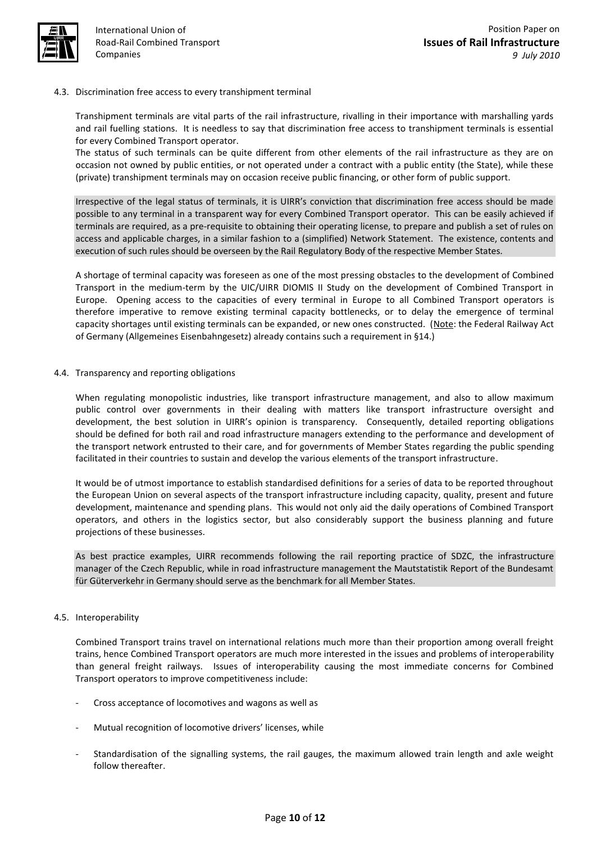

## 4.3. Discrimination free access to every transhipment terminal

Transhipment terminals are vital parts of the rail infrastructure, rivalling in their importance with marshalling yards and rail fuelling stations. It is needless to say that discrimination free access to transhipment terminals is essential for every Combined Transport operator.

The status of such terminals can be quite different from other elements of the rail infrastructure as they are on occasion not owned by public entities, or not operated under a contract with a public entity (the State), while these (private) transhipment terminals may on occasion receive public financing, or other form of public support.

Irrespective of the legal status of terminals, it is UIRR's conviction that discrimination free access should be made possible to any terminal in a transparent way for every Combined Transport operator. This can be easily achieved if terminals are required, as a pre-requisite to obtaining their operating license, to prepare and publish a set of rules on access and applicable charges, in a similar fashion to a (simplified) Network Statement. The existence, contents and execution of such rules should be overseen by the Rail Regulatory Body of the respective Member States.

A shortage of terminal capacity was foreseen as one of the most pressing obstacles to the development of Combined Transport in the medium-term by the UIC/UIRR DIOMIS II Study on the development of Combined Transport in Europe. Opening access to the capacities of every terminal in Europe to all Combined Transport operators is therefore imperative to remove existing terminal capacity bottlenecks, or to delay the emergence of terminal capacity shortages until existing terminals can be expanded, or new ones constructed. (Note: the Federal Railway Act of Germany (Allgemeines Eisenbahngesetz) already contains such a requirement in §14.)

4.4. Transparency and reporting obligations

When regulating monopolistic industries, like transport infrastructure management, and also to allow maximum public control over governments in their dealing with matters like transport infrastructure oversight and development, the best solution in UIRR's opinion is transparency. Consequently, detailed reporting obligations should be defined for both rail and road infrastructure managers extending to the performance and development of the transport network entrusted to their care, and for governments of Member States regarding the public spending facilitated in their countries to sustain and develop the various elements of the transport infrastructure.

It would be of utmost importance to establish standardised definitions for a series of data to be reported throughout the European Union on several aspects of the transport infrastructure including capacity, quality, present and future development, maintenance and spending plans. This would not only aid the daily operations of Combined Transport operators, and others in the logistics sector, but also considerably support the business planning and future projections of these businesses.

As best practice examples, UIRR recommends following the rail reporting practice of SDZC, the infrastructure manager of the Czech Republic, while in road infrastructure management the Mautstatistik Report of the Bundesamt für Güterverkehr in Germany should serve as the benchmark for all Member States.

## 4.5. Interoperability

Combined Transport trains travel on international relations much more than their proportion among overall freight trains, hence Combined Transport operators are much more interested in the issues and problems of interoperability than general freight railways. Issues of interoperability causing the most immediate concerns for Combined Transport operators to improve competitiveness include:

- Cross acceptance of locomotives and wagons as well as
- Mutual recognition of locomotive drivers' licenses, while
- Standardisation of the signalling systems, the rail gauges, the maximum allowed train length and axle weight follow thereafter.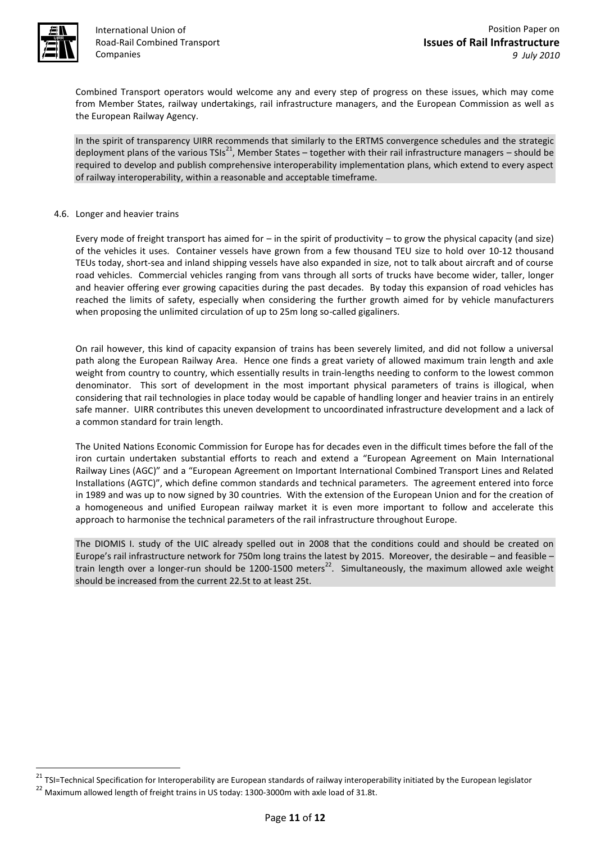

 $\overline{a}$ 

International Union of Road-Rail Combined Transport Companies

Combined Transport operators would welcome any and every step of progress on these issues, which may come from Member States, railway undertakings, rail infrastructure managers, and the European Commission as well as the European Railway Agency.

In the spirit of transparency UIRR recommends that similarly to the ERTMS convergence schedules and the strategic deployment plans of the various TSIs<sup>21</sup>, Member States – together with their rail infrastructure managers – should be required to develop and publish comprehensive interoperability implementation plans, which extend to every aspect of railway interoperability, within a reasonable and acceptable timeframe.

#### 4.6. Longer and heavier trains

Every mode of freight transport has aimed for – in the spirit of productivity – to grow the physical capacity (and size) of the vehicles it uses. Container vessels have grown from a few thousand TEU size to hold over 10-12 thousand TEUs today, short-sea and inland shipping vessels have also expanded in size, not to talk about aircraft and of course road vehicles. Commercial vehicles ranging from vans through all sorts of trucks have become wider, taller, longer and heavier offering ever growing capacities during the past decades. By today this expansion of road vehicles has reached the limits of safety, especially when considering the further growth aimed for by vehicle manufacturers when proposing the unlimited circulation of up to 25m long so-called gigaliners.

On rail however, this kind of capacity expansion of trains has been severely limited, and did not follow a universal path along the European Railway Area. Hence one finds a great variety of allowed maximum train length and axle weight from country to country, which essentially results in train-lengths needing to conform to the lowest common denominator. This sort of development in the most important physical parameters of trains is illogical, when considering that rail technologies in place today would be capable of handling longer and heavier trains in an entirely safe manner. UIRR contributes this uneven development to uncoordinated infrastructure development and a lack of a common standard for train length.

The United Nations Economic Commission for Europe has for decades even in the difficult times before the fall of the iron curtain undertaken substantial efforts to reach and extend a "European Agreement on Main International Railway Lines (AGC)" and a "European Agreement on Important International Combined Transport Lines and Related Installations (AGTC)", which define common standards and technical parameters. The agreement entered into force in 1989 and was up to now signed by 30 countries. With the extension of the European Union and for the creation of a homogeneous and unified European railway market it is even more important to follow and accelerate this approach to harmonise the technical parameters of the rail infrastructure throughout Europe.

The DIOMIS I. study of the UIC already spelled out in 2008 that the conditions could and should be created on Europe's rail infrastructure network for 750m long trains the latest by 2015. Moreover, the desirable – and feasible – train length over a longer-run should be 1200-1500 meters<sup>22</sup>. Simultaneously, the maximum allowed axle weight should be increased from the current 22.5t to at least 25t.

<sup>&</sup>lt;sup>21</sup> TSI=Technical Specification for Interoperability are European standards of railway interoperability initiated by the European legislator <sup>22</sup> Maximum allowed length of freight trains in US today: 1300-3000m with axle load of 31.8t.